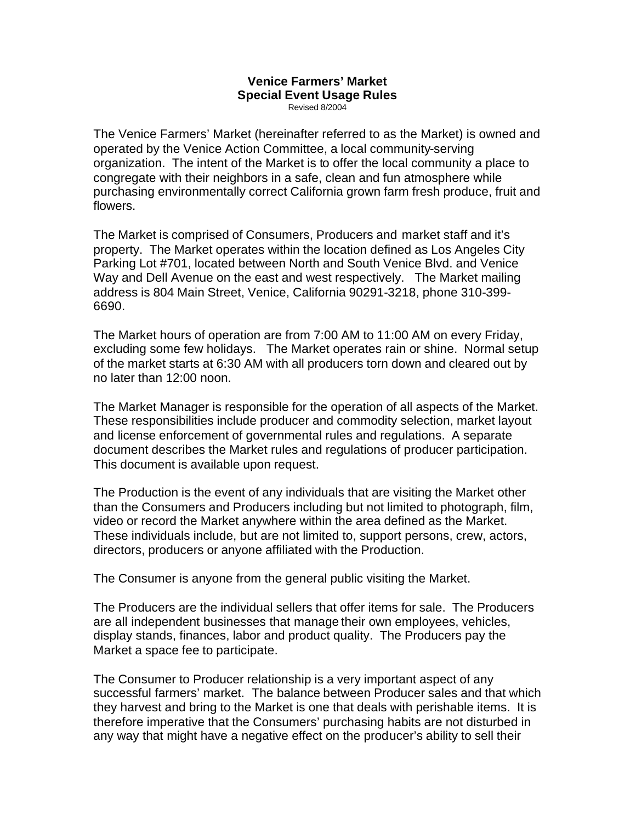## **Venice Farmers' Market Special Event Usage Rules** Revised 8/2004

The Venice Farmers' Market (hereinafter referred to as the Market) is owned and operated by the Venice Action Committee, a local community-serving organization. The intent of the Market is to offer the local community a place to congregate with their neighbors in a safe, clean and fun atmosphere while purchasing environmentally correct California grown farm fresh produce, fruit and flowers.

The Market is comprised of Consumers, Producers and market staff and it's property. The Market operates within the location defined as Los Angeles City Parking Lot #701, located between North and South Venice Blvd. and Venice Way and Dell Avenue on the east and west respectively. The Market mailing address is 804 Main Street, Venice, California 90291-3218, phone 310-399- 6690.

The Market hours of operation are from 7:00 AM to 11:00 AM on every Friday, excluding some few holidays. The Market operates rain or shine. Normal setup of the market starts at 6:30 AM with all producers torn down and cleared out by no later than 12:00 noon.

The Market Manager is responsible for the operation of all aspects of the Market. These responsibilities include producer and commodity selection, market layout and license enforcement of governmental rules and regulations. A separate document describes the Market rules and regulations of producer participation. This document is available upon request.

The Production is the event of any individuals that are visiting the Market other than the Consumers and Producers including but not limited to photograph, film, video or record the Market anywhere within the area defined as the Market. These individuals include, but are not limited to, support persons, crew, actors, directors, producers or anyone affiliated with the Production.

The Consumer is anyone from the general public visiting the Market.

The Producers are the individual sellers that offer items for sale. The Producers are all independent businesses that manage their own employees, vehicles, display stands, finances, labor and product quality. The Producers pay the Market a space fee to participate.

The Consumer to Producer relationship is a very important aspect of any successful farmers' market. The balance between Producer sales and that which they harvest and bring to the Market is one that deals with perishable items. It is therefore imperative that the Consumers' purchasing habits are not disturbed in any way that might have a negative effect on the producer's ability to sell their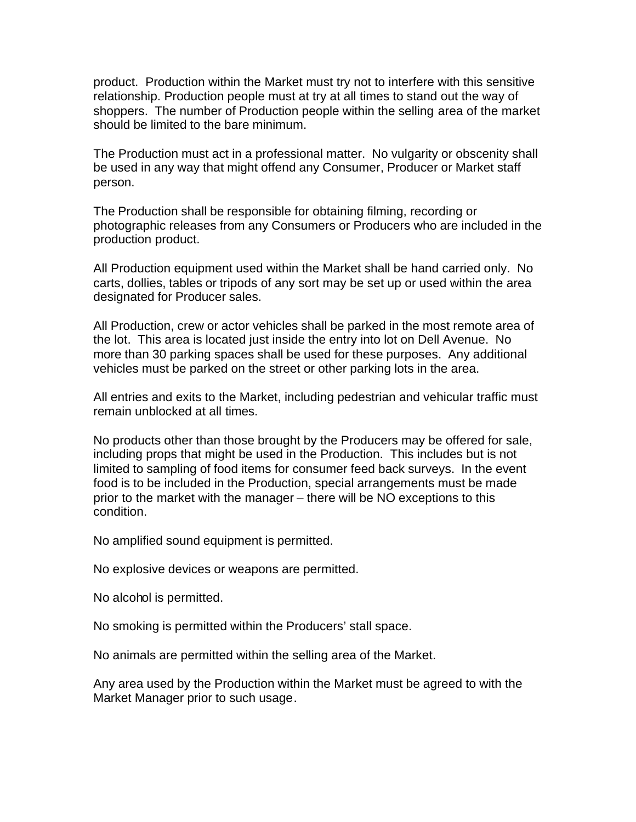product. Production within the Market must try not to interfere with this sensitive relationship. Production people must at try at all times to stand out the way of shoppers. The number of Production people within the selling area of the market should be limited to the bare minimum.

The Production must act in a professional matter. No vulgarity or obscenity shall be used in any way that might offend any Consumer, Producer or Market staff person.

The Production shall be responsible for obtaining filming, recording or photographic releases from any Consumers or Producers who are included in the production product.

All Production equipment used within the Market shall be hand carried only. No carts, dollies, tables or tripods of any sort may be set up or used within the area designated for Producer sales.

All Production, crew or actor vehicles shall be parked in the most remote area of the lot. This area is located just inside the entry into lot on Dell Avenue. No more than 30 parking spaces shall be used for these purposes. Any additional vehicles must be parked on the street or other parking lots in the area.

All entries and exits to the Market, including pedestrian and vehicular traffic must remain unblocked at all times.

No products other than those brought by the Producers may be offered for sale, including props that might be used in the Production. This includes but is not limited to sampling of food items for consumer feed back surveys. In the event food is to be included in the Production, special arrangements must be made prior to the market with the manager – there will be NO exceptions to this condition.

No amplified sound equipment is permitted.

No explosive devices or weapons are permitted.

No alcohol is permitted.

No smoking is permitted within the Producers' stall space.

No animals are permitted within the selling area of the Market.

Any area used by the Production within the Market must be agreed to with the Market Manager prior to such usage.